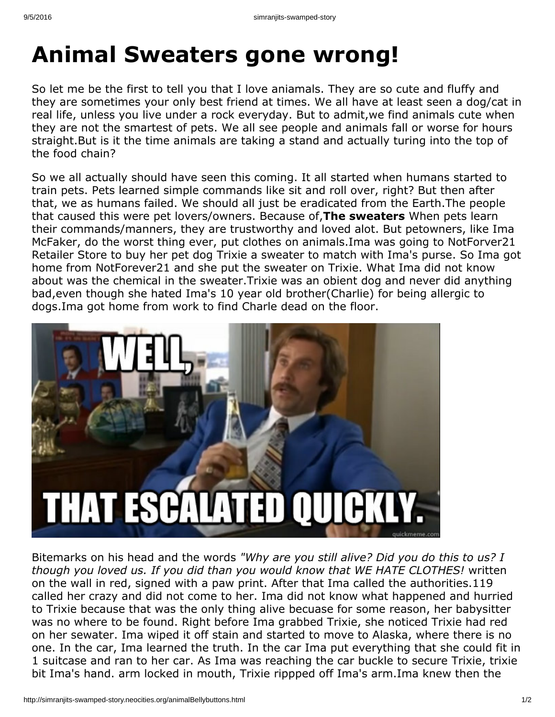## **Animal Sweaters gone wrong!**

So let me be the first to tell you that I love aniamals. They are so cute and fluffy and they are sometimes your only best friend at times. We all have at least seen a dog/cat in real life, unless you live under a rock everyday. But to admit,we find animals cute when they are not the smartest of pets. We all see people and animals fall or worse for hours straight.But is it the time animals are taking a stand and actually turing into the top of the food chain?

So we all actually should have seen this coming. It all started when humans started to train pets. Pets learned simple commands like sit and roll over, right? But then after that, we as humans failed. We should all just be eradicated from the Earth.The people that caused this were pet lovers/owners. Because of,**The sweaters** When pets learn their commands/manners, they are trustworthy and loved alot. But petowners, like Ima McFaker, do the worst thing ever, put clothes on animals.Ima was going to NotForver21 Retailer Store to buy her pet dog Trixie a sweater to match with Ima's purse. So Ima got home from NotForever21 and she put the sweater on Trixie. What Ima did not know about was the chemical in the sweater.Trixie was an obient dog and never did anything bad,even though she hated Ima's 10 year old brother(Charlie) for being allergic to dogs.Ima got home from work to find Charle dead on the floor.



Bitemarks on his head and the words *"Why are you still alive? Did you do this to us? I though you loved us. If you did than you would know that WE HATE CLOTHES!* written on the wall in red, signed with a paw print. After that Ima called the authorities.119 called her crazy and did not come to her. Ima did not know what happened and hurried to Trixie because that was the only thing alive becuase for some reason, her babysitter was no where to be found. Right before Ima grabbed Trixie, she noticed Trixie had red on her sewater. Ima wiped it off stain and started to move to Alaska, where there is no one. In the car, Ima learned the truth. In the car Ima put everything that she could fit in 1 suitcase and ran to her car. As Ima was reaching the car buckle to secure Trixie, trixie bit Ima's hand. arm locked in mouth, Trixie rippped off Ima's arm.Ima knew then the